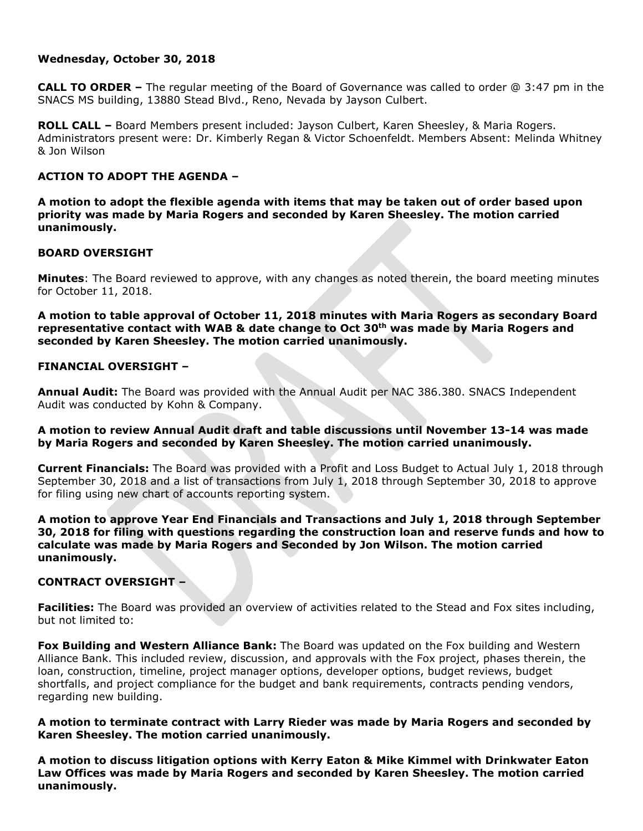## **Wednesday, October 30, 2018**

**CALL TO ORDER –** The regular meeting of the Board of Governance was called to order @ 3:47 pm in the SNACS MS building, 13880 Stead Blvd., Reno, Nevada by Jayson Culbert.

**ROLL CALL –** Board Members present included: Jayson Culbert, Karen Sheesley, & Maria Rogers. Administrators present were: Dr. Kimberly Regan & Victor Schoenfeldt. Members Absent: Melinda Whitney & Jon Wilson

# **ACTION TO ADOPT THE AGENDA –**

**A motion to adopt the flexible agenda with items that may be taken out of order based upon priority was made by Maria Rogers and seconded by Karen Sheesley. The motion carried unanimously.** 

### **BOARD OVERSIGHT**

**Minutes**: The Board reviewed to approve, with any changes as noted therein, the board meeting minutes for October 11, 2018.

**A motion to table approval of October 11, 2018 minutes with Maria Rogers as secondary Board representative contact with WAB & date change to Oct 30th was made by Maria Rogers and seconded by Karen Sheesley. The motion carried unanimously.**

### **FINANCIAL OVERSIGHT –**

**Annual Audit:** The Board was provided with the Annual Audit per NAC 386.380. SNACS Independent Audit was conducted by Kohn & Company.

## **A motion to review Annual Audit draft and table discussions until November 13-14 was made by Maria Rogers and seconded by Karen Sheesley. The motion carried unanimously.**

**Current Financials:** The Board was provided with a Profit and Loss Budget to Actual July 1, 2018 through September 30, 2018 and a list of transactions from July 1, 2018 through September 30, 2018 to approve for filing using new chart of accounts reporting system.

**A motion to approve Year End Financials and Transactions and July 1, 2018 through September 30, 2018 for filing with questions regarding the construction loan and reserve funds and how to calculate was made by Maria Rogers and Seconded by Jon Wilson. The motion carried unanimously.** 

## **CONTRACT OVERSIGHT –**

**Facilities:** The Board was provided an overview of activities related to the Stead and Fox sites including, but not limited to:

**Fox Building and Western Alliance Bank:** The Board was updated on the Fox building and Western Alliance Bank. This included review, discussion, and approvals with the Fox project, phases therein, the loan, construction, timeline, project manager options, developer options, budget reviews, budget shortfalls, and project compliance for the budget and bank requirements, contracts pending vendors, regarding new building.

**A motion to terminate contract with Larry Rieder was made by Maria Rogers and seconded by Karen Sheesley. The motion carried unanimously.** 

**A motion to discuss litigation options with Kerry Eaton & Mike Kimmel with Drinkwater Eaton Law Offices was made by Maria Rogers and seconded by Karen Sheesley. The motion carried unanimously.**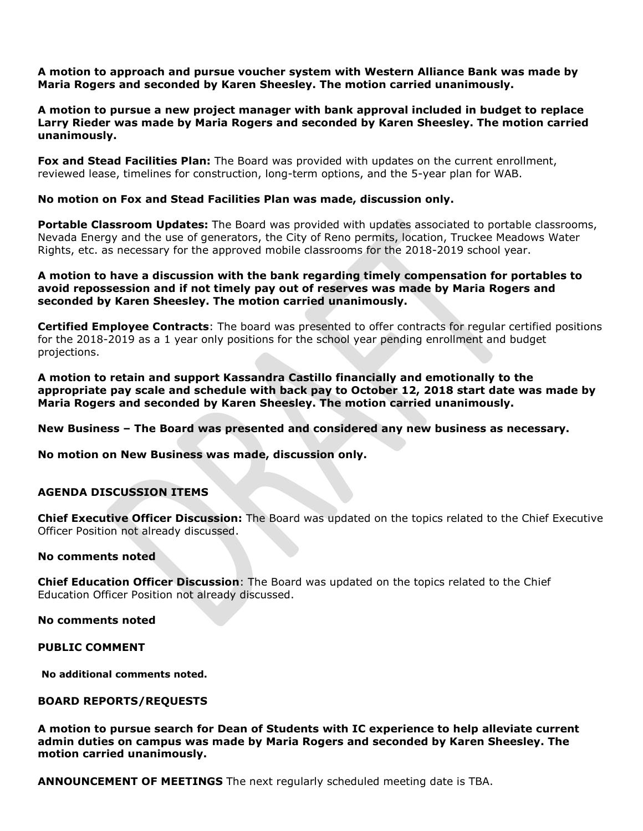**A motion to approach and pursue voucher system with Western Alliance Bank was made by Maria Rogers and seconded by Karen Sheesley. The motion carried unanimously.** 

**A motion to pursue a new project manager with bank approval included in budget to replace Larry Rieder was made by Maria Rogers and seconded by Karen Sheesley. The motion carried unanimously.** 

**Fox and Stead Facilities Plan:** The Board was provided with updates on the current enrollment, reviewed lease, timelines for construction, long-term options, and the 5-year plan for WAB.

#### **No motion on Fox and Stead Facilities Plan was made, discussion only.**

**Portable Classroom Updates:** The Board was provided with updates associated to portable classrooms, Nevada Energy and the use of generators, the City of Reno permits, location, Truckee Meadows Water Rights, etc. as necessary for the approved mobile classrooms for the 2018-2019 school year.

### **A motion to have a discussion with the bank regarding timely compensation for portables to avoid repossession and if not timely pay out of reserves was made by Maria Rogers and seconded by Karen Sheesley. The motion carried unanimously.**

**Certified Employee Contracts**: The board was presented to offer contracts for regular certified positions for the 2018-2019 as a 1 year only positions for the school year pending enrollment and budget projections.

**A motion to retain and support Kassandra Castillo financially and emotionally to the appropriate pay scale and schedule with back pay to October 12, 2018 start date was made by Maria Rogers and seconded by Karen Sheesley. The motion carried unanimously.** 

**New Business – The Board was presented and considered any new business as necessary.** 

**No motion on New Business was made, discussion only.**

# **AGENDA DISCUSSION ITEMS**

**Chief Executive Officer Discussion:** The Board was updated on the topics related to the Chief Executive Officer Position not already discussed.

#### **No comments noted**

**Chief Education Officer Discussion**: The Board was updated on the topics related to the Chief Education Officer Position not already discussed.

**No comments noted**

**PUBLIC COMMENT**

**No additional comments noted.**

#### **BOARD REPORTS/REQUESTS**

**A motion to pursue search for Dean of Students with IC experience to help alleviate current admin duties on campus was made by Maria Rogers and seconded by Karen Sheesley. The motion carried unanimously.** 

**ANNOUNCEMENT OF MEETINGS** The next regularly scheduled meeting date is TBA.